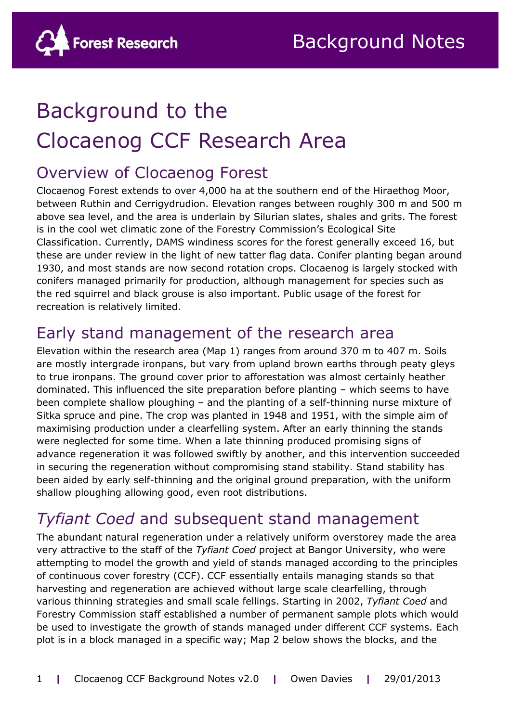

# Background to the Clocaenog CCF Research Area

## Overview of Clocaenog Forest

Clocaenog Forest extends to over 4,000 ha at the southern end of the Hiraethog Moor, between Ruthin and Cerrigydrudion. Elevation ranges between roughly 300 m and 500 m above sea level, and the area is underlain by Silurian slates, shales and grits. The forest is in the cool wet climatic zone of the Forestry Commission's Ecological Site Classification. Currently, DAMS windiness scores for the forest generally exceed 16, but these are under review in the light of new tatter flag data. Conifer planting began around 1930, and most stands are now second rotation crops. Clocaenog is largely stocked with conifers managed primarily for production, although management for species such as the red squirrel and black grouse is also important. Public usage of the forest for recreation is relatively limited.

### Early stand management of the research area

Elevation within the research area (Map 1) ranges from around 370 m to 407 m. Soils are mostly intergrade ironpans, but vary from upland brown earths through peaty gleys to true ironpans. The ground cover prior to afforestation was almost certainly heather dominated. This influenced the site preparation before planting – which seems to have been complete shallow ploughing – and the planting of a self-thinning nurse mixture of Sitka spruce and pine. The crop was planted in 1948 and 1951, with the simple aim of maximising production under a clearfelling system. After an early thinning the stands were neglected for some time. When a late thinning produced promising signs of advance regeneration it was followed swiftly by another, and this intervention succeeded in securing the regeneration without compromising stand stability. Stand stability has been aided by early self-thinning and the original ground preparation, with the uniform shallow ploughing allowing good, even root distributions.

### *Tyfiant Coed* and subsequent stand management

The abundant natural regeneration under a relatively uniform overstorey made the area very attractive to the staff of the *Tyfiant Coed* project at Bangor University, who were attempting to model the growth and yield of stands managed according to the principles of continuous cover forestry (CCF). CCF essentially entails managing stands so that harvesting and regeneration are achieved without large scale clearfelling, through various thinning strategies and small scale fellings. Starting in 2002, *Tyfiant Coed* and Forestry Commission staff established a number of permanent sample plots which would be used to investigate the growth of stands managed under different CCF systems. Each plot is in a block managed in a specific way; Map 2 below shows the blocks, and the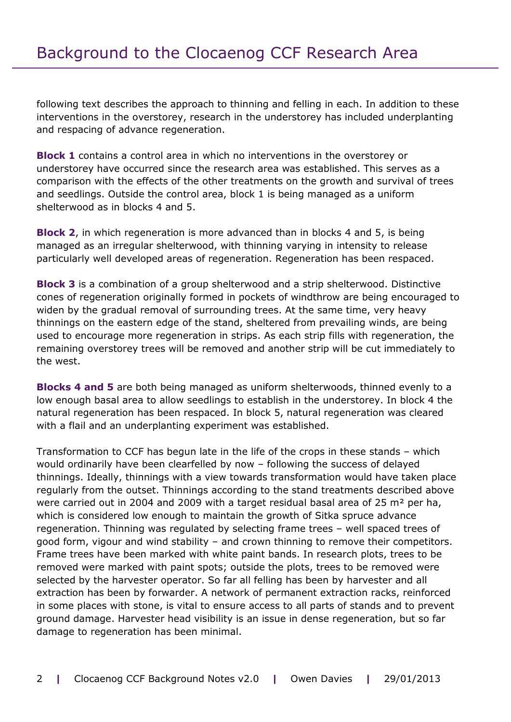following text describes the approach to thinning and felling in each. In addition to these interventions in the overstorey, research in the understorey has included underplanting and respacing of advance regeneration.

**Block 1** contains a control area in which no interventions in the overstorey or understorey have occurred since the research area was established. This serves as a comparison with the effects of the other treatments on the growth and survival of trees and seedlings. Outside the control area, block 1 is being managed as a uniform shelterwood as in blocks 4 and 5.

**Block 2**, in which regeneration is more advanced than in blocks 4 and 5, is being managed as an irregular shelterwood, with thinning varying in intensity to release particularly well developed areas of regeneration. Regeneration has been respaced.

**Block 3** is a combination of a group shelterwood and a strip shelterwood. Distinctive cones of regeneration originally formed in pockets of windthrow are being encouraged to widen by the gradual removal of surrounding trees. At the same time, very heavy thinnings on the eastern edge of the stand, sheltered from prevailing winds, are being used to encourage more regeneration in strips. As each strip fills with regeneration, the remaining overstorey trees will be removed and another strip will be cut immediately to the west.

**Blocks 4 and 5** are both being managed as uniform shelterwoods, thinned evenly to a low enough basal area to allow seedlings to establish in the understorey. In block 4 the natural regeneration has been respaced. In block 5, natural regeneration was cleared with a flail and an underplanting experiment was established.

Transformation to CCF has begun late in the life of the crops in these stands – which would ordinarily have been clearfelled by now – following the success of delayed thinnings. Ideally, thinnings with a view towards transformation would have taken place regularly from the outset. Thinnings according to the stand treatments described above were carried out in 2004 and 2009 with a target residual basal area of 25 m² per ha, which is considered low enough to maintain the growth of Sitka spruce advance regeneration. Thinning was regulated by selecting frame trees – well spaced trees of good form, vigour and wind stability – and crown thinning to remove their competitors. Frame trees have been marked with white paint bands. In research plots, trees to be removed were marked with paint spots; outside the plots, trees to be removed were selected by the harvester operator. So far all felling has been by harvester and all extraction has been by forwarder. A network of permanent extraction racks, reinforced in some places with stone, is vital to ensure access to all parts of stands and to prevent ground damage. Harvester head visibility is an issue in dense regeneration, but so far damage to regeneration has been minimal.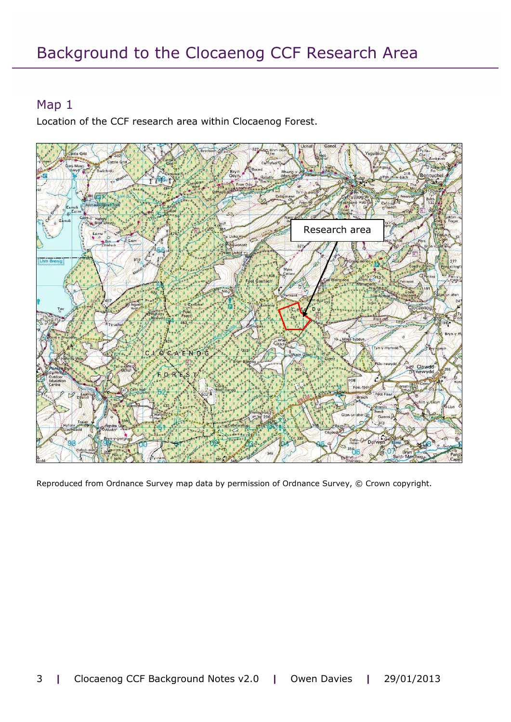#### Map 1

Location of the CCF research area within Clocaenog Forest.



Reproduced from Ordnance Survey map data by permission of Ordnance Survey, © Crown copyright.